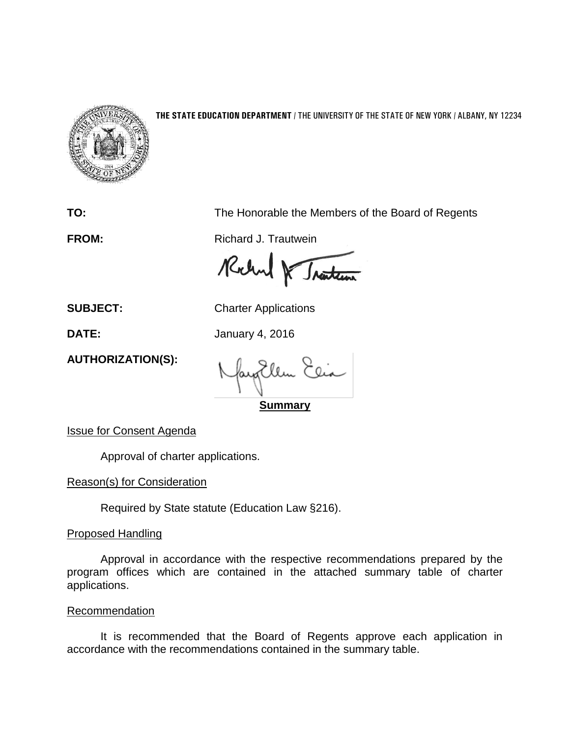

## **THE STATE EDUCATION DEPARTMENT** / THE UNIVERSITY OF THE STATE OF NEW YORK / ALBANY, NY 12234

**TO:** The Honorable the Members of the Board of Regents

**FROM:** Richard J. Trautwein

Rochel & Traction

**SUBJECT:** Charter Applications

**DATE:** January 4, 2016

**AUTHORIZATION(S):**

**Summary**

Issue for Consent Agenda

Approval of charter applications.

Reason(s) for Consideration

Required by State statute (Education Law §216).

Proposed Handling

Approval in accordance with the respective recommendations prepared by the program offices which are contained in the attached summary table of charter applications.

## Recommendation

It is recommended that the Board of Regents approve each application in accordance with the recommendations contained in the summary table.